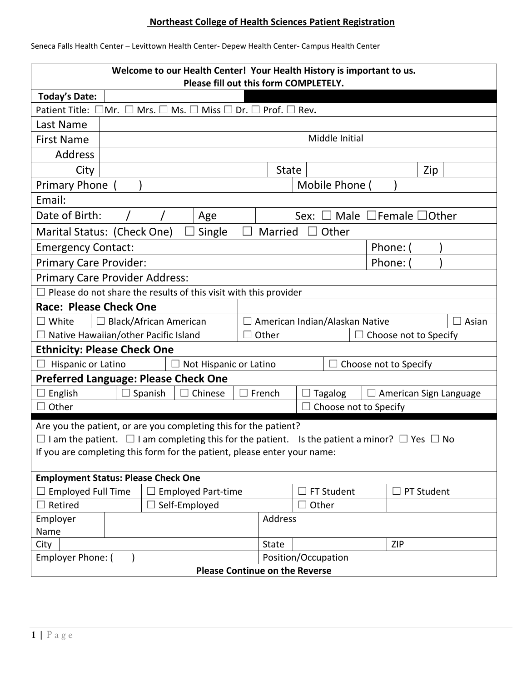## **Northeast College of Health Sciences Patient Registration**

| Seneca Falls Health Center - Levittown Health Center- Depew Health Center- Campus Health Center |  |  |
|-------------------------------------------------------------------------------------------------|--|--|
|                                                                                                 |  |  |

| Welcome to our Health Center! Your Health History is important to us.<br>Please fill out this form COMPLETELY.                                                                                                                                                        |                                                                                                                       |         |                               |         |                     |        |                              |                                 |            |     |                        |
|-----------------------------------------------------------------------------------------------------------------------------------------------------------------------------------------------------------------------------------------------------------------------|-----------------------------------------------------------------------------------------------------------------------|---------|-------------------------------|---------|---------------------|--------|------------------------------|---------------------------------|------------|-----|------------------------|
| <b>Today's Date:</b>                                                                                                                                                                                                                                                  |                                                                                                                       |         |                               |         |                     |        |                              |                                 |            |     |                        |
|                                                                                                                                                                                                                                                                       | Patient Title: $\Box$ Mr.<br>Mrs. $\square$ Ms. $\square$ Miss $\square$ Dr. $\square$ Prof. $\square$ Rev.<br>$\Box$ |         |                               |         |                     |        |                              |                                 |            |     |                        |
| Last Name                                                                                                                                                                                                                                                             |                                                                                                                       |         |                               |         |                     |        |                              |                                 |            |     |                        |
| <b>First Name</b>                                                                                                                                                                                                                                                     |                                                                                                                       |         |                               |         |                     |        | Middle Initial               |                                 |            |     |                        |
| Address                                                                                                                                                                                                                                                               |                                                                                                                       |         |                               |         |                     |        |                              |                                 |            |     |                        |
| City                                                                                                                                                                                                                                                                  |                                                                                                                       |         |                               |         | <b>State</b>        |        |                              |                                 |            | Zip |                        |
| <b>Primary Phone</b>                                                                                                                                                                                                                                                  |                                                                                                                       |         |                               |         |                     |        | Mobile Phone (               |                                 |            |     |                        |
| Email:                                                                                                                                                                                                                                                                |                                                                                                                       |         |                               |         |                     |        |                              |                                 |            |     |                        |
| Date of Birth:                                                                                                                                                                                                                                                        |                                                                                                                       |         | Age                           |         |                     | Sex:   |                              | Male $\Box$ Female $\Box$ Other |            |     |                        |
| Marital Status: (Check One)                                                                                                                                                                                                                                           |                                                                                                                       |         | Single                        | $\perp$ | Married             | $\Box$ | Other                        |                                 |            |     |                        |
| <b>Emergency Contact:</b>                                                                                                                                                                                                                                             |                                                                                                                       |         |                               |         |                     |        |                              | Phone: (                        |            |     |                        |
| <b>Primary Care Provider:</b>                                                                                                                                                                                                                                         |                                                                                                                       |         |                               |         |                     |        |                              | Phone:                          |            |     |                        |
| <b>Primary Care Provider Address:</b>                                                                                                                                                                                                                                 |                                                                                                                       |         |                               |         |                     |        |                              |                                 |            |     |                        |
| Please do not share the results of this visit with this provider                                                                                                                                                                                                      |                                                                                                                       |         |                               |         |                     |        |                              |                                 |            |     |                        |
| <b>Race: Please Check One</b>                                                                                                                                                                                                                                         |                                                                                                                       |         |                               |         |                     |        |                              |                                 |            |     |                        |
| <b>Black/African American</b><br>White<br>American Indian/Alaskan Native<br>Asian                                                                                                                                                                                     |                                                                                                                       |         |                               |         |                     |        |                              |                                 |            |     |                        |
| Native Hawaiian/other Pacific Island<br>Other<br>Choose not to Specify                                                                                                                                                                                                |                                                                                                                       |         |                               |         |                     |        |                              |                                 |            |     |                        |
| <b>Ethnicity: Please Check One</b>                                                                                                                                                                                                                                    |                                                                                                                       |         |                               |         |                     |        |                              |                                 |            |     |                        |
| Hispanic or Latino                                                                                                                                                                                                                                                    |                                                                                                                       |         | $\Box$ Not Hispanic or Latino |         |                     |        | $\Box$ Choose not to Specify |                                 |            |     |                        |
| <b>Preferred Language: Please Check One</b>                                                                                                                                                                                                                           |                                                                                                                       |         |                               |         |                     |        |                              |                                 |            |     |                        |
| English                                                                                                                                                                                                                                                               |                                                                                                                       | Spanish | Chinese                       |         | French              |        | <b>Tagalog</b>               |                                 |            |     | American Sign Language |
| Other                                                                                                                                                                                                                                                                 |                                                                                                                       |         |                               |         |                     |        | Choose not to Specify        |                                 |            |     |                        |
| Are you the patient, or are you completing this for the patient?<br>$\Box$ I am the patient. $\Box$ I am completing this for the patient.<br>Is the patient a minor? $\Box$ Yes $\Box$ No<br>If you are completing this form for the patient, please enter your name: |                                                                                                                       |         |                               |         |                     |        |                              |                                 |            |     |                        |
|                                                                                                                                                                                                                                                                       |                                                                                                                       |         |                               |         |                     |        |                              |                                 |            |     |                        |
| <b>Employment Status: Please Check One</b>                                                                                                                                                                                                                            |                                                                                                                       |         |                               |         |                     |        |                              |                                 |            |     |                        |
| <b>Employed Full Time</b><br><b>Employed Part-time</b><br>FT Student<br>PT Student<br>Retired<br>Self-Employed<br>Other                                                                                                                                               |                                                                                                                       |         |                               |         |                     |        |                              |                                 |            |     |                        |
| Employer                                                                                                                                                                                                                                                              |                                                                                                                       |         |                               |         | Address             |        |                              |                                 |            |     |                        |
| Name                                                                                                                                                                                                                                                                  |                                                                                                                       |         |                               |         |                     |        |                              |                                 |            |     |                        |
| City                                                                                                                                                                                                                                                                  |                                                                                                                       |         |                               |         | State               |        |                              |                                 | <b>ZIP</b> |     |                        |
| Employer Phone:                                                                                                                                                                                                                                                       |                                                                                                                       |         |                               |         | Position/Occupation |        |                              |                                 |            |     |                        |
| <b>Please Continue on the Reverse</b>                                                                                                                                                                                                                                 |                                                                                                                       |         |                               |         |                     |        |                              |                                 |            |     |                        |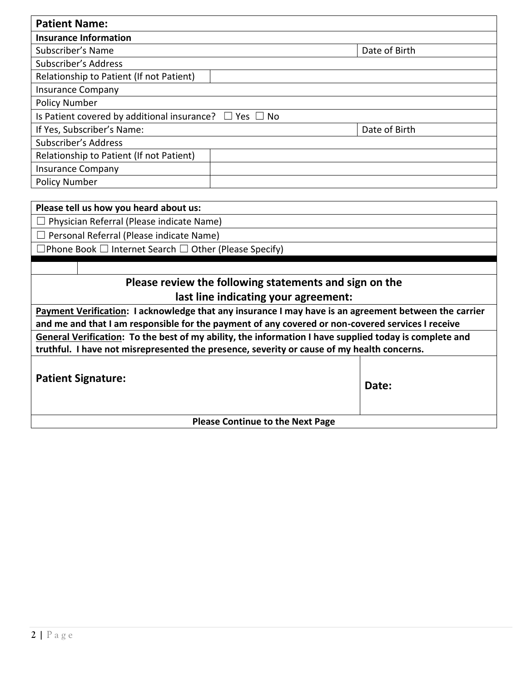| <b>Patient Name:</b>                                             |               |
|------------------------------------------------------------------|---------------|
| <b>Insurance Information</b>                                     |               |
| Subscriber's Name                                                | Date of Birth |
| Subscriber's Address                                             |               |
| Relationship to Patient (If not Patient)                         |               |
| <b>Insurance Company</b>                                         |               |
| <b>Policy Number</b>                                             |               |
| Is Patient covered by additional insurance? $\Box$ Yes $\Box$ No |               |
| If Yes, Subscriber's Name:                                       | Date of Birth |
| Subscriber's Address                                             |               |
| Relationship to Patient (If not Patient)                         |               |
| <b>Insurance Company</b>                                         |               |
| <b>Policy Number</b>                                             |               |

| Please tell us how you heard about us:                                                                 |  |  |  |  |  |
|--------------------------------------------------------------------------------------------------------|--|--|--|--|--|
| Physician Referral (Please indicate Name)                                                              |  |  |  |  |  |
| Personal Referral (Please indicate Name)                                                               |  |  |  |  |  |
| $\Box$ Phone Book $\Box$ Internet Search $\Box$ Other (Please Specify)                                 |  |  |  |  |  |
|                                                                                                        |  |  |  |  |  |
| Please review the following statements and sign on the                                                 |  |  |  |  |  |
| last line indicating your agreement:                                                                   |  |  |  |  |  |
| Payment Verification: I acknowledge that any insurance I may have is an agreement between the carrier  |  |  |  |  |  |
| and me and that I am responsible for the payment of any covered or non-covered services I receive      |  |  |  |  |  |
| General Verification: To the best of my ability, the information I have supplied today is complete and |  |  |  |  |  |
| truthful. I have not misrepresented the presence, severity or cause of my health concerns.             |  |  |  |  |  |
| <b>Patient Signature:</b><br>Date:                                                                     |  |  |  |  |  |
| <b>Please Continue to the Next Page</b>                                                                |  |  |  |  |  |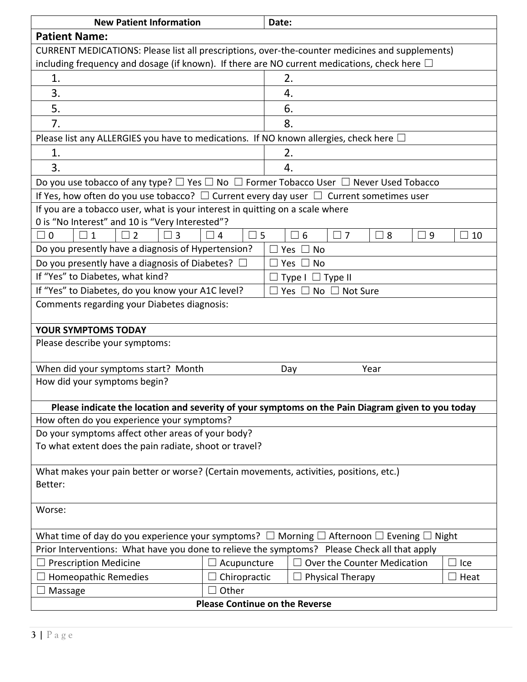| <b>New Patient Information</b>                                                                                                                                                                                   | Date:                                            |                                    |      |  |  |  |  |  |  |
|------------------------------------------------------------------------------------------------------------------------------------------------------------------------------------------------------------------|--------------------------------------------------|------------------------------------|------|--|--|--|--|--|--|
| <b>Patient Name:</b>                                                                                                                                                                                             |                                                  |                                    |      |  |  |  |  |  |  |
| CURRENT MEDICATIONS: Please list all prescriptions, over-the-counter medicines and supplements)                                                                                                                  |                                                  |                                    |      |  |  |  |  |  |  |
| including frequency and dosage (if known). If there are NO current medications, check here $\Box$                                                                                                                |                                                  |                                    |      |  |  |  |  |  |  |
| 1.<br>2.                                                                                                                                                                                                         |                                                  |                                    |      |  |  |  |  |  |  |
| 3.<br>4.                                                                                                                                                                                                         |                                                  |                                    |      |  |  |  |  |  |  |
| 5.                                                                                                                                                                                                               |                                                  | 6.                                 |      |  |  |  |  |  |  |
| 7.                                                                                                                                                                                                               |                                                  | 8.                                 |      |  |  |  |  |  |  |
| Please list any ALLERGIES you have to medications. If NO known allergies, check here $\Box$                                                                                                                      |                                                  |                                    |      |  |  |  |  |  |  |
| 1.                                                                                                                                                                                                               |                                                  | 2.                                 |      |  |  |  |  |  |  |
| 3.                                                                                                                                                                                                               |                                                  | 4.                                 |      |  |  |  |  |  |  |
| Do you use tobacco of any type? $\Box$ Yes $\Box$ No $\Box$ Former Tobacco User $\Box$ Never Used Tobacco                                                                                                        |                                                  |                                    |      |  |  |  |  |  |  |
| If Yes, how often do you use tobacco? $\Box$ Current every day user $\Box$ Current sometimes user                                                                                                                |                                                  |                                    |      |  |  |  |  |  |  |
| If you are a tobacco user, what is your interest in quitting on a scale where                                                                                                                                    |                                                  |                                    |      |  |  |  |  |  |  |
| 0 is "No Interest" and 10 is "Very Interested"?                                                                                                                                                                  |                                                  |                                    |      |  |  |  |  |  |  |
| $\Box$ 0<br>$\mathbf{1}$<br>$\overline{2}$<br>$\mathsf{L}$<br>3                                                                                                                                                  | $\overline{4}$<br>5                              | $\Box$ 7<br>8<br>6<br>$\perp$<br>9 | 10   |  |  |  |  |  |  |
| Do you presently have a diagnosis of Hypertension?                                                                                                                                                               |                                                  | Yes<br><b>No</b>                   |      |  |  |  |  |  |  |
| Do you presently have a diagnosis of Diabetes?<br>Yes<br>No                                                                                                                                                      |                                                  |                                    |      |  |  |  |  |  |  |
| If "Yes" to Diabetes, what kind?<br>Type $I \square$ Type II                                                                                                                                                     |                                                  |                                    |      |  |  |  |  |  |  |
| If "Yes" to Diabetes, do you know your A1C level?<br>Yes $\Box$ No $\Box$ Not Sure                                                                                                                               |                                                  |                                    |      |  |  |  |  |  |  |
| Comments regarding your Diabetes diagnosis:                                                                                                                                                                      |                                                  |                                    |      |  |  |  |  |  |  |
| <b>YOUR SYMPTOMS TODAY</b>                                                                                                                                                                                       |                                                  |                                    |      |  |  |  |  |  |  |
| Please describe your symptoms:                                                                                                                                                                                   |                                                  |                                    |      |  |  |  |  |  |  |
|                                                                                                                                                                                                                  |                                                  |                                    |      |  |  |  |  |  |  |
| When did your symptoms start? Month                                                                                                                                                                              |                                                  | Year<br>Day                        |      |  |  |  |  |  |  |
| How did your symptoms begin?                                                                                                                                                                                     |                                                  |                                    |      |  |  |  |  |  |  |
|                                                                                                                                                                                                                  |                                                  |                                    |      |  |  |  |  |  |  |
| Please indicate the location and severity of your symptoms on the Pain Diagram given to you today<br>How often do you experience your symptoms?                                                                  |                                                  |                                    |      |  |  |  |  |  |  |
| Do your symptoms affect other areas of your body?                                                                                                                                                                |                                                  |                                    |      |  |  |  |  |  |  |
| To what extent does the pain radiate, shoot or travel?                                                                                                                                                           |                                                  |                                    |      |  |  |  |  |  |  |
|                                                                                                                                                                                                                  |                                                  |                                    |      |  |  |  |  |  |  |
| What makes your pain better or worse? (Certain movements, activities, positions, etc.)                                                                                                                           |                                                  |                                    |      |  |  |  |  |  |  |
| Better:                                                                                                                                                                                                          |                                                  |                                    |      |  |  |  |  |  |  |
|                                                                                                                                                                                                                  |                                                  |                                    |      |  |  |  |  |  |  |
| Worse:                                                                                                                                                                                                           |                                                  |                                    |      |  |  |  |  |  |  |
|                                                                                                                                                                                                                  |                                                  |                                    |      |  |  |  |  |  |  |
| What time of day do you experience your symptoms? $\Box$ Morning $\Box$ Afternoon $\Box$ Evening $\Box$<br>Night<br>Prior Interventions: What have you done to relieve the symptoms? Please Check all that apply |                                                  |                                    |      |  |  |  |  |  |  |
| Over the Counter Medication<br><b>Prescription Medicine</b><br>$\Box$ Acupuncture<br>Ice                                                                                                                         |                                                  |                                    |      |  |  |  |  |  |  |
| Homeopathic Remedies                                                                                                                                                                                             | Chiropractic                                     | <b>Physical Therapy</b>            | Heat |  |  |  |  |  |  |
|                                                                                                                                                                                                                  | Other                                            |                                    |      |  |  |  |  |  |  |
|                                                                                                                                                                                                                  | Massage<br><b>Please Continue on the Reverse</b> |                                    |      |  |  |  |  |  |  |
|                                                                                                                                                                                                                  |                                                  |                                    |      |  |  |  |  |  |  |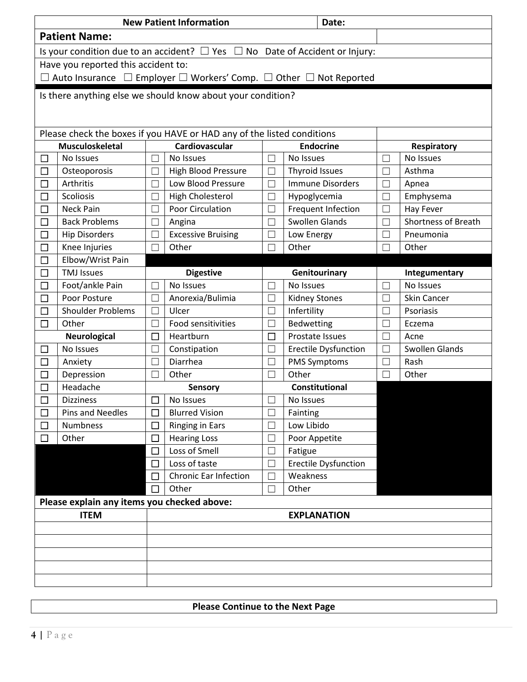| <b>New Patient Information</b> |                                                                                              |                           |                              |                   | Date:                              |                          |                            |  |  |
|--------------------------------|----------------------------------------------------------------------------------------------|---------------------------|------------------------------|-------------------|------------------------------------|--------------------------|----------------------------|--|--|
| <b>Patient Name:</b>           |                                                                                              |                           |                              |                   |                                    |                          |                            |  |  |
|                                | Is your condition due to an accident? $\Box$ Yes $\Box$ No Date of Accident or Injury:       |                           |                              |                   |                                    |                          |                            |  |  |
|                                | Have you reported this accident to:                                                          |                           |                              |                   |                                    |                          |                            |  |  |
|                                | $\Box$ Auto Insurance $\Box$ Employer $\Box$ Workers' Comp. $\Box$ Other $\Box$ Not Reported |                           |                              |                   |                                    |                          |                            |  |  |
|                                |                                                                                              |                           |                              |                   |                                    |                          |                            |  |  |
|                                | Is there anything else we should know about your condition?                                  |                           |                              |                   |                                    |                          |                            |  |  |
|                                |                                                                                              |                           |                              |                   |                                    |                          |                            |  |  |
|                                | Please check the boxes if you HAVE or HAD any of the listed conditions                       |                           |                              |                   |                                    |                          |                            |  |  |
|                                | <b>Musculoskeletal</b>                                                                       |                           | Cardiovascular               |                   | <b>Endocrine</b>                   |                          | <b>Respiratory</b>         |  |  |
| $\Box$                         | No Issues                                                                                    |                           | No Issues                    |                   | No Issues                          | $\overline{\phantom{a}}$ | No Issues                  |  |  |
| $\Box$                         | Osteoporosis                                                                                 |                           | <b>High Blood Pressure</b>   |                   | <b>Thyroid Issues</b>              |                          | Asthma                     |  |  |
|                                | Arthritis                                                                                    |                           | Low Blood Pressure           | П                 | <b>Immune Disorders</b>            |                          | Apnea                      |  |  |
|                                | Scoliosis                                                                                    |                           | High Cholesterol             |                   |                                    |                          | Emphysema                  |  |  |
|                                | <b>Neck Pain</b>                                                                             |                           | <b>Poor Circulation</b>      |                   | Hypoglycemia<br>Frequent Infection |                          | Hay Fever                  |  |  |
|                                | <b>Back Problems</b>                                                                         |                           |                              | П                 | <b>Swollen Glands</b>              | $\Box$                   | <b>Shortness of Breath</b> |  |  |
| $\Box$                         |                                                                                              |                           | Angina                       |                   |                                    |                          | Pneumonia                  |  |  |
| П                              | <b>Hip Disorders</b>                                                                         |                           | <b>Excessive Bruising</b>    | $\Box$            | Low Energy                         | $\mathbf{L}$             |                            |  |  |
| $\Box$                         | Other<br>Other<br>Other<br>Knee Injuries                                                     |                           |                              |                   |                                    |                          |                            |  |  |
|                                | Elbow/Wrist Pain<br>$\Box$                                                                   |                           |                              |                   |                                    |                          |                            |  |  |
| $\Box$                         | <b>TMJ Issues</b>                                                                            |                           | <b>Digestive</b>             |                   | Genitourinary                      |                          | Integumentary              |  |  |
| $\overline{\phantom{a}}$       | Foot/ankle Pain                                                                              |                           | No Issues                    |                   | No Issues                          |                          | No Issues                  |  |  |
| $\Box$                         | Poor Posture                                                                                 |                           | Anorexia/Bulimia             | $\Box$            | <b>Kidney Stones</b>               | $\Box$                   | <b>Skin Cancer</b>         |  |  |
| $\Box$                         | <b>Shoulder Problems</b>                                                                     |                           | Ulcer                        | П                 | Infertility                        | $\mathbf{L}$             | Psoriasis                  |  |  |
| $\Box$                         | Other                                                                                        | $\vert \ \ \vert$         | Food sensitivities           | $\vert \ \ \vert$ | Bedwetting                         | $\overline{\phantom{a}}$ | Eczema                     |  |  |
|                                | Neurological                                                                                 |                           | Heartburn                    | $\Box$            | Prostate Issues                    |                          | Acne                       |  |  |
|                                | No Issues                                                                                    |                           | Constipation                 | $\Box$            | Erectile Dysfunction               |                          | <b>Swollen Glands</b>      |  |  |
|                                | Anxiety                                                                                      |                           | Diarrhea                     |                   | <b>PMS Symptoms</b>                |                          | Rash                       |  |  |
|                                | Depression                                                                                   |                           | Other                        | П                 | Other                              |                          | Other                      |  |  |
|                                | Headache                                                                                     | Constitutional<br>Sensory |                              |                   |                                    |                          |                            |  |  |
| $\Box$                         | <b>Dizziness</b>                                                                             |                           | No Issues                    |                   | No Issues                          |                          |                            |  |  |
| $\Box$                         | Pins and Needles                                                                             |                           | <b>Blurred Vision</b>        | П                 | Fainting                           |                          |                            |  |  |
| $\Box$                         | Numbness                                                                                     |                           | <b>Ringing in Ears</b>       |                   | Low Libido                         |                          |                            |  |  |
| П                              | Other                                                                                        |                           | <b>Hearing Loss</b>          | $\Box$            | Poor Appetite                      |                          |                            |  |  |
|                                |                                                                                              |                           | Loss of Smell                | $\vert \ \vert$   | Fatigue                            |                          |                            |  |  |
|                                |                                                                                              | □                         | Loss of taste                | П                 | <b>Erectile Dysfunction</b>        |                          |                            |  |  |
|                                |                                                                                              | $\perp$                   | <b>Chronic Ear Infection</b> |                   | Weakness                           |                          |                            |  |  |
|                                |                                                                                              |                           | Other                        |                   | Other                              |                          |                            |  |  |
|                                | Please explain any items you checked above:                                                  |                           |                              |                   |                                    |                          |                            |  |  |
|                                | <b>ITEM</b>                                                                                  |                           |                              |                   | <b>EXPLANATION</b>                 |                          |                            |  |  |
|                                |                                                                                              |                           |                              |                   |                                    |                          |                            |  |  |
|                                |                                                                                              |                           |                              |                   |                                    |                          |                            |  |  |
|                                |                                                                                              |                           |                              |                   |                                    |                          |                            |  |  |
|                                |                                                                                              |                           |                              |                   |                                    |                          |                            |  |  |
|                                |                                                                                              |                           |                              |                   |                                    |                          |                            |  |  |

**Please Continue to the Next Page**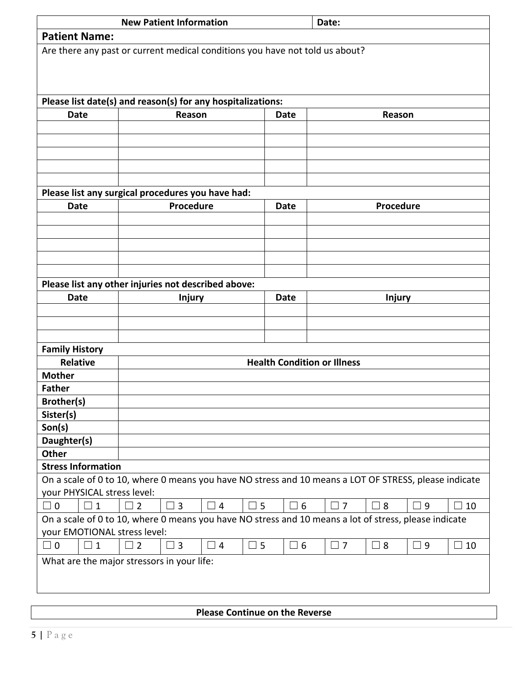| <b>New Patient Information</b>                        |                                                                                                       |          |             | Date:    |          |               |          |           |  |
|-------------------------------------------------------|-------------------------------------------------------------------------------------------------------|----------|-------------|----------|----------|---------------|----------|-----------|--|
| <b>Patient Name:</b>                                  |                                                                                                       |          |             |          |          |               |          |           |  |
|                                                       | Are there any past or current medical conditions you have not told us about?                          |          |             |          |          |               |          |           |  |
|                                                       |                                                                                                       |          |             |          |          |               |          |           |  |
|                                                       |                                                                                                       |          |             |          |          |               |          |           |  |
|                                                       |                                                                                                       |          |             |          |          |               |          |           |  |
| <b>Date</b>                                           | Please list date(s) and reason(s) for any hospitalizations:<br>Reason                                 |          | <b>Date</b> |          |          | Reason        |          |           |  |
|                                                       |                                                                                                       |          |             |          |          |               |          |           |  |
|                                                       |                                                                                                       |          |             |          |          |               |          |           |  |
|                                                       |                                                                                                       |          |             |          |          |               |          |           |  |
|                                                       |                                                                                                       |          |             |          |          |               |          |           |  |
|                                                       |                                                                                                       |          |             |          |          |               |          |           |  |
|                                                       | Please list any surgical procedures you have had:                                                     |          |             |          |          |               |          |           |  |
| <b>Date</b>                                           | Procedure                                                                                             |          | Date        |          |          | Procedure     |          |           |  |
|                                                       |                                                                                                       |          |             |          |          |               |          |           |  |
|                                                       |                                                                                                       |          |             |          |          |               |          |           |  |
|                                                       |                                                                                                       |          |             |          |          |               |          |           |  |
|                                                       |                                                                                                       |          |             |          |          |               |          |           |  |
|                                                       | Please list any other injuries not described above:                                                   |          |             |          |          |               |          |           |  |
| <b>Date</b>                                           | <b>Injury</b>                                                                                         |          | <b>Date</b> |          |          | <b>Injury</b> |          |           |  |
|                                                       |                                                                                                       |          |             |          |          |               |          |           |  |
|                                                       |                                                                                                       |          |             |          |          |               |          |           |  |
|                                                       |                                                                                                       |          |             |          |          |               |          |           |  |
| <b>Family History</b>                                 |                                                                                                       |          |             |          |          |               |          |           |  |
| <b>Health Condition or Illness</b><br><b>Relative</b> |                                                                                                       |          |             |          |          |               |          |           |  |
| <b>Mother</b>                                         |                                                                                                       |          |             |          |          |               |          |           |  |
| <b>Father</b>                                         |                                                                                                       |          |             |          |          |               |          |           |  |
| Brother(s)                                            |                                                                                                       |          |             |          |          |               |          |           |  |
| Sister(s)                                             |                                                                                                       |          |             |          |          |               |          |           |  |
| Son(s)                                                |                                                                                                       |          |             |          |          |               |          |           |  |
| Daughter(s)<br><b>Other</b>                           |                                                                                                       |          |             |          |          |               |          |           |  |
| <b>Stress Information</b>                             |                                                                                                       |          |             |          |          |               |          |           |  |
|                                                       | On a scale of 0 to 10, where 0 means you have NO stress and 10 means a LOT OF STRESS, please indicate |          |             |          |          |               |          |           |  |
| your PHYSICAL stress level:                           |                                                                                                       |          |             |          |          |               |          |           |  |
| $\Box$ 0<br>$\square$ 1                               | $\overline{2}$<br>$\overline{3}$<br>$\overline{\phantom{a}}$                                          | $\Box$ 4 | $\square$ 5 | $\Box$ 6 | $\Box$ 7 | $\sqsupset$ 8 | 9 ⊑      | $\Box$ 10 |  |
|                                                       | On a scale of 0 to 10, where 0 means you have NO stress and 10 means a lot of stress, please indicate |          |             |          |          |               |          |           |  |
| your EMOTIONAL stress level:                          |                                                                                                       |          |             |          |          |               |          |           |  |
| $\Box$ 0<br>$\Box$ 1                                  | $\Box$ 2<br>$\Box$ 3                                                                                  | $\Box$ 4 | $\square$ 5 | $\Box$ 6 | $\Box$ 7 | $\Box$ 8      | $\Box$ 9 | $\Box$ 10 |  |
|                                                       | What are the major stressors in your life:                                                            |          |             |          |          |               |          |           |  |
|                                                       |                                                                                                       |          |             |          |          |               |          |           |  |
|                                                       |                                                                                                       |          |             |          |          |               |          |           |  |
|                                                       |                                                                                                       |          |             |          |          |               |          |           |  |

**Please Continue on the Reverse**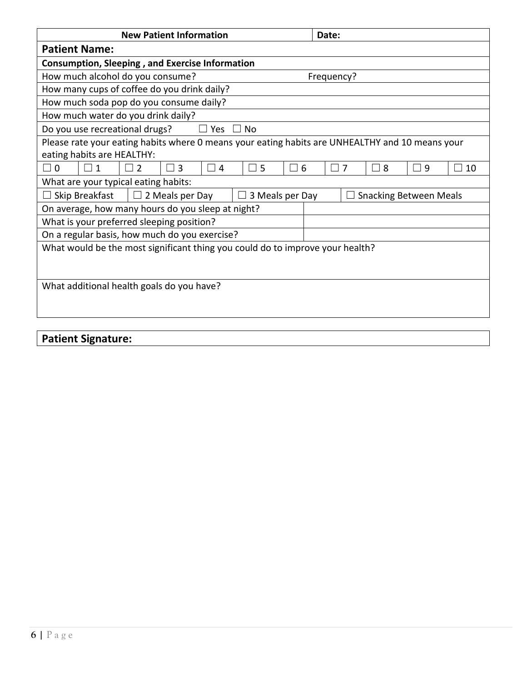| <b>New Patient Information</b>                                                                  | Date:                                 |  |  |  |  |  |  |  |
|-------------------------------------------------------------------------------------------------|---------------------------------------|--|--|--|--|--|--|--|
| <b>Patient Name:</b>                                                                            |                                       |  |  |  |  |  |  |  |
| <b>Consumption, Sleeping, and Exercise Information</b>                                          |                                       |  |  |  |  |  |  |  |
| How much alcohol do you consume?                                                                | Frequency?                            |  |  |  |  |  |  |  |
| How many cups of coffee do you drink daily?                                                     |                                       |  |  |  |  |  |  |  |
| How much soda pop do you consume daily?                                                         |                                       |  |  |  |  |  |  |  |
| How much water do you drink daily?                                                              |                                       |  |  |  |  |  |  |  |
| Do you use recreational drugs?<br>$\Box$ No<br>$\Box$<br>Yes                                    |                                       |  |  |  |  |  |  |  |
| Please rate your eating habits where 0 means your eating habits are UNHEALTHY and 10 means your |                                       |  |  |  |  |  |  |  |
| eating habits are HEALTHY:                                                                      |                                       |  |  |  |  |  |  |  |
| $\Box$ 0<br>5<br>6<br>$\mathcal{P}$<br>3<br>$\overline{4}$<br>П.<br>$\mathbf{1}$                | $\Box$ 7<br>8<br>9<br>$\Box$ 10<br>L. |  |  |  |  |  |  |  |
| What are your typical eating habits:                                                            |                                       |  |  |  |  |  |  |  |
| Skip Breakfast<br>2 Meals per Day<br>3 Meals per Day<br><b>Snacking Between Meals</b><br>$\Box$ |                                       |  |  |  |  |  |  |  |
| On average, how many hours do you sleep at night?                                               |                                       |  |  |  |  |  |  |  |
| What is your preferred sleeping position?                                                       |                                       |  |  |  |  |  |  |  |
| On a regular basis, how much do you exercise?                                                   |                                       |  |  |  |  |  |  |  |
| What would be the most significant thing you could do to improve your health?                   |                                       |  |  |  |  |  |  |  |
|                                                                                                 |                                       |  |  |  |  |  |  |  |
|                                                                                                 |                                       |  |  |  |  |  |  |  |
| What additional health goals do you have?                                                       |                                       |  |  |  |  |  |  |  |
|                                                                                                 |                                       |  |  |  |  |  |  |  |
|                                                                                                 |                                       |  |  |  |  |  |  |  |
|                                                                                                 |                                       |  |  |  |  |  |  |  |

## **Patient Signature:**